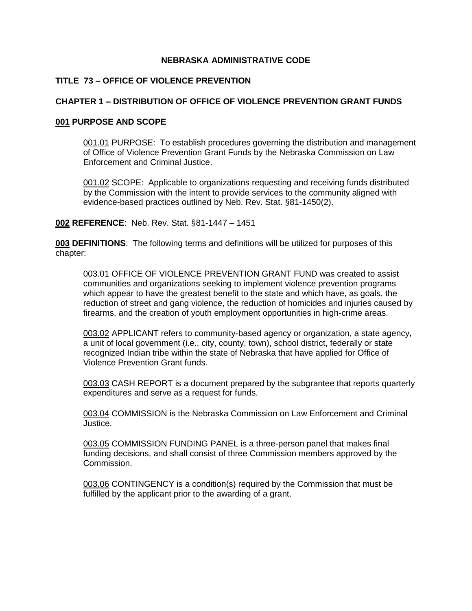## **NEBRASKA ADMINISTRATIVE CODE**

# **TITLE 73 – OFFICE OF VIOLENCE PREVENTION**

## **CHAPTER 1 – DISTRIBUTION OF OFFICE OF VIOLENCE PREVENTION GRANT FUNDS**

#### **001 PURPOSE AND SCOPE**

001.01 PURPOSE: To establish procedures governing the distribution and management of Office of Violence Prevention Grant Funds by the Nebraska Commission on Law Enforcement and Criminal Justice.

001.02 SCOPE: Applicable to organizations requesting and receiving funds distributed by the Commission with the intent to provide services to the community aligned with evidence-based practices outlined by Neb. Rev. Stat. §81-1450(2).

#### **002 REFERENCE**: Neb. Rev. Stat. §81-1447 – 1451

**003 DEFINITIONS**: The following terms and definitions will be utilized for purposes of this chapter:

003.01 OFFICE OF VIOLENCE PREVENTION GRANT FUND was created to assist communities and organizations seeking to implement violence prevention programs which appear to have the greatest benefit to the state and which have, as goals, the reduction of street and gang violence, the reduction of homicides and injuries caused by firearms, and the creation of youth employment opportunities in high-crime areas.

003.02 APPLICANT refers to community-based agency or organization, a state agency, a unit of local government (i.e., city, county, town), school district, federally or state recognized Indian tribe within the state of Nebraska that have applied for Office of Violence Prevention Grant funds.

003.03 CASH REPORT is a document prepared by the subgrantee that reports quarterly expenditures and serve as a request for funds.

003.04 COMMISSION is the Nebraska Commission on Law Enforcement and Criminal Justice.

003.05 COMMISSION FUNDING PANEL is a three-person panel that makes final funding decisions, and shall consist of three Commission members approved by the Commission.

003.06 CONTINGENCY is a condition(s) required by the Commission that must be fulfilled by the applicant prior to the awarding of a grant.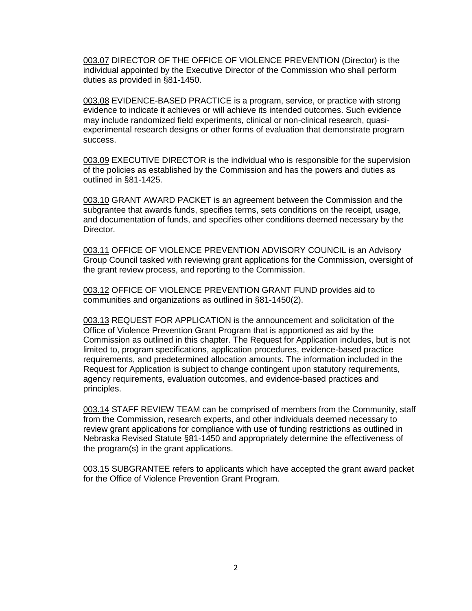003.07 DIRECTOR OF THE OFFICE OF VIOLENCE PREVENTION (Director) is the individual appointed by the Executive Director of the Commission who shall perform duties as provided in §81-1450.

003.08 EVIDENCE-BASED PRACTICE is a program, service, or practice with strong evidence to indicate it achieves or will achieve its intended outcomes. Such evidence may include randomized field experiments, clinical or non-clinical research, quasiexperimental research designs or other forms of evaluation that demonstrate program success.

003.09 EXECUTIVE DIRECTOR is the individual who is responsible for the supervision of the policies as established by the Commission and has the powers and duties as outlined in §81-1425.

003.10 GRANT AWARD PACKET is an agreement between the Commission and the subgrantee that awards funds, specifies terms, sets conditions on the receipt, usage, and documentation of funds, and specifies other conditions deemed necessary by the Director.

003.11 OFFICE OF VIOLENCE PREVENTION ADVISORY COUNCIL is an Advisory Group Council tasked with reviewing grant applications for the Commission, oversight of the grant review process, and reporting to the Commission.

003.12 OFFICE OF VIOLENCE PREVENTION GRANT FUND provides aid to communities and organizations as outlined in §81-1450(2).

003.13 REQUEST FOR APPLICATION is the announcement and solicitation of the Office of Violence Prevention Grant Program that is apportioned as aid by the Commission as outlined in this chapter. The Request for Application includes, but is not limited to, program specifications, application procedures, evidence-based practice requirements, and predetermined allocation amounts. The information included in the Request for Application is subject to change contingent upon statutory requirements, agency requirements, evaluation outcomes, and evidence-based practices and principles.

003.14 STAFF REVIEW TEAM can be comprised of members from the Community, staff from the Commission, research experts, and other individuals deemed necessary to review grant applications for compliance with use of funding restrictions as outlined in Nebraska Revised Statute §81-1450 and appropriately determine the effectiveness of the program(s) in the grant applications.

003.15 SUBGRANTEE refers to applicants which have accepted the grant award packet for the Office of Violence Prevention Grant Program.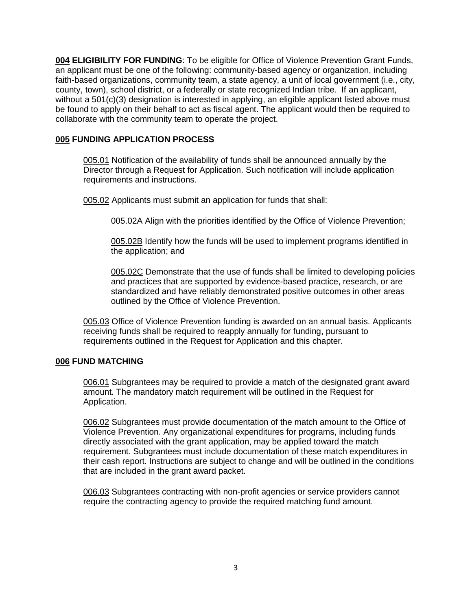**004 ELIGIBILITY FOR FUNDING**: To be eligible for Office of Violence Prevention Grant Funds, an applicant must be one of the following: community-based agency or organization, including faith-based organizations, community team, a state agency, a unit of local government (i.e., city, county, town), school district, or a federally or state recognized Indian tribe. If an applicant, without a 501(c)(3) designation is interested in applying, an eligible applicant listed above must be found to apply on their behalf to act as fiscal agent. The applicant would then be required to collaborate with the community team to operate the project.

# **005 FUNDING APPLICATION PROCESS**

005.01 Notification of the availability of funds shall be announced annually by the Director through a Request for Application. Such notification will include application requirements and instructions.

005.02 Applicants must submit an application for funds that shall:

005.02A Align with the priorities identified by the Office of Violence Prevention;

005.02B Identify how the funds will be used to implement programs identified in the application; and

005.02C Demonstrate that the use of funds shall be limited to developing policies and practices that are supported by evidence-based practice, research, or are standardized and have reliably demonstrated positive outcomes in other areas outlined by the Office of Violence Prevention.

005.03 Office of Violence Prevention funding is awarded on an annual basis. Applicants receiving funds shall be required to reapply annually for funding, pursuant to requirements outlined in the Request for Application and this chapter.

# **006 FUND MATCHING**

006.01 Subgrantees may be required to provide a match of the designated grant award amount. The mandatory match requirement will be outlined in the Request for Application.

006.02 Subgrantees must provide documentation of the match amount to the Office of Violence Prevention. Any organizational expenditures for programs, including funds directly associated with the grant application, may be applied toward the match requirement. Subgrantees must include documentation of these match expenditures in their cash report. Instructions are subject to change and will be outlined in the conditions that are included in the grant award packet.

006.03 Subgrantees contracting with non-profit agencies or service providers cannot require the contracting agency to provide the required matching fund amount.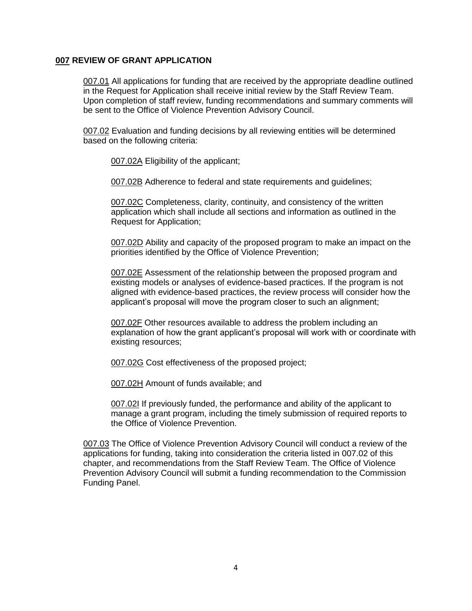### **007 REVIEW OF GRANT APPLICATION**

007.01 All applications for funding that are received by the appropriate deadline outlined in the Request for Application shall receive initial review by the Staff Review Team. Upon completion of staff review, funding recommendations and summary comments will be sent to the Office of Violence Prevention Advisory Council.

007.02 Evaluation and funding decisions by all reviewing entities will be determined based on the following criteria:

007.02A Eligibility of the applicant;

007.02B Adherence to federal and state requirements and guidelines;

007.02C Completeness, clarity, continuity, and consistency of the written application which shall include all sections and information as outlined in the Request for Application;

007.02D Ability and capacity of the proposed program to make an impact on the priorities identified by the Office of Violence Prevention;

007.02E Assessment of the relationship between the proposed program and existing models or analyses of evidence-based practices. If the program is not aligned with evidence-based practices, the review process will consider how the applicant's proposal will move the program closer to such an alignment;

007.02F Other resources available to address the problem including an explanation of how the grant applicant's proposal will work with or coordinate with existing resources;

007.02G Cost effectiveness of the proposed project;

007.02H Amount of funds available; and

007.02I If previously funded, the performance and ability of the applicant to manage a grant program, including the timely submission of required reports to the Office of Violence Prevention.

007.03 The Office of Violence Prevention Advisory Council will conduct a review of the applications for funding, taking into consideration the criteria listed in 007.02 of this chapter, and recommendations from the Staff Review Team. The Office of Violence Prevention Advisory Council will submit a funding recommendation to the Commission Funding Panel.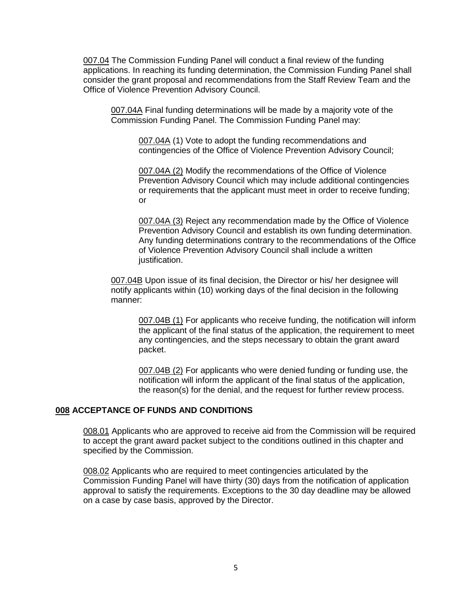007.04 The Commission Funding Panel will conduct a final review of the funding applications. In reaching its funding determination, the Commission Funding Panel shall consider the grant proposal and recommendations from the Staff Review Team and the Office of Violence Prevention Advisory Council.

007.04A Final funding determinations will be made by a majority vote of the Commission Funding Panel. The Commission Funding Panel may:

007.04A (1) Vote to adopt the funding recommendations and contingencies of the Office of Violence Prevention Advisory Council;

007.04A (2) Modify the recommendations of the Office of Violence Prevention Advisory Council which may include additional contingencies or requirements that the applicant must meet in order to receive funding; or

007.04A (3) Reject any recommendation made by the Office of Violence Prevention Advisory Council and establish its own funding determination. Any funding determinations contrary to the recommendations of the Office of Violence Prevention Advisory Council shall include a written justification.

007.04B Upon issue of its final decision, the Director or his/ her designee will notify applicants within (10) working days of the final decision in the following manner:

007.04B (1) For applicants who receive funding, the notification will inform the applicant of the final status of the application, the requirement to meet any contingencies, and the steps necessary to obtain the grant award packet.

007.04B (2) For applicants who were denied funding or funding use, the notification will inform the applicant of the final status of the application, the reason(s) for the denial, and the request for further review process.

#### **008 ACCEPTANCE OF FUNDS AND CONDITIONS**

008.01 Applicants who are approved to receive aid from the Commission will be required to accept the grant award packet subject to the conditions outlined in this chapter and specified by the Commission.

008.02 Applicants who are required to meet contingencies articulated by the Commission Funding Panel will have thirty (30) days from the notification of application approval to satisfy the requirements. Exceptions to the 30 day deadline may be allowed on a case by case basis, approved by the Director.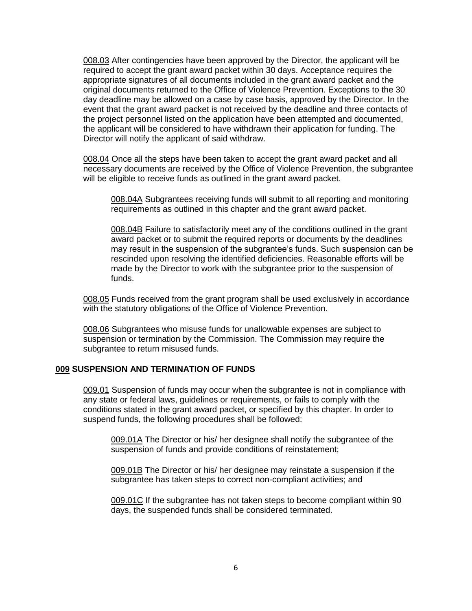008.03 After contingencies have been approved by the Director, the applicant will be required to accept the grant award packet within 30 days. Acceptance requires the appropriate signatures of all documents included in the grant award packet and the original documents returned to the Office of Violence Prevention. Exceptions to the 30 day deadline may be allowed on a case by case basis, approved by the Director. In the event that the grant award packet is not received by the deadline and three contacts of the project personnel listed on the application have been attempted and documented, the applicant will be considered to have withdrawn their application for funding. The Director will notify the applicant of said withdraw.

008.04 Once all the steps have been taken to accept the grant award packet and all necessary documents are received by the Office of Violence Prevention, the subgrantee will be eligible to receive funds as outlined in the grant award packet.

008.04A Subgrantees receiving funds will submit to all reporting and monitoring requirements as outlined in this chapter and the grant award packet.

008.04B Failure to satisfactorily meet any of the conditions outlined in the grant award packet or to submit the required reports or documents by the deadlines may result in the suspension of the subgrantee's funds. Such suspension can be rescinded upon resolving the identified deficiencies. Reasonable efforts will be made by the Director to work with the subgrantee prior to the suspension of funds.

008.05 Funds received from the grant program shall be used exclusively in accordance with the statutory obligations of the Office of Violence Prevention.

008.06 Subgrantees who misuse funds for unallowable expenses are subject to suspension or termination by the Commission. The Commission may require the subgrantee to return misused funds.

#### **009 SUSPENSION AND TERMINATION OF FUNDS**

009.01 Suspension of funds may occur when the subgrantee is not in compliance with any state or federal laws, guidelines or requirements, or fails to comply with the conditions stated in the grant award packet, or specified by this chapter. In order to suspend funds, the following procedures shall be followed:

009.01A The Director or his/ her designee shall notify the subgrantee of the suspension of funds and provide conditions of reinstatement;

009.01B The Director or his/ her designee may reinstate a suspension if the subgrantee has taken steps to correct non-compliant activities; and

009.01C If the subgrantee has not taken steps to become compliant within 90 days, the suspended funds shall be considered terminated.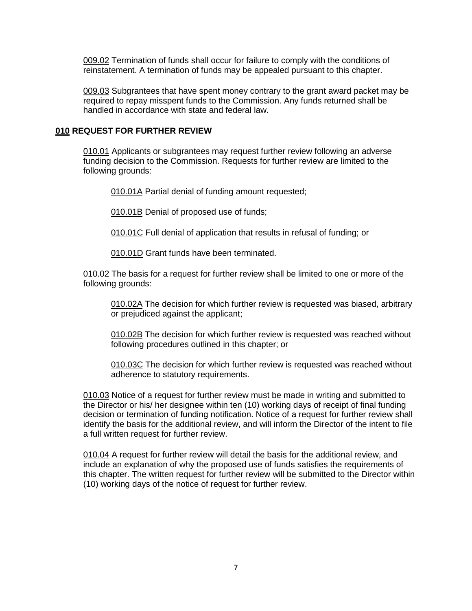009.02 Termination of funds shall occur for failure to comply with the conditions of reinstatement. A termination of funds may be appealed pursuant to this chapter.

009.03 Subgrantees that have spent money contrary to the grant award packet may be required to repay misspent funds to the Commission. Any funds returned shall be handled in accordance with state and federal law.

#### **010 REQUEST FOR FURTHER REVIEW**

010.01 Applicants or subgrantees may request further review following an adverse funding decision to the Commission. Requests for further review are limited to the following grounds:

010.01A Partial denial of funding amount requested;

010.01B Denial of proposed use of funds;

010.01C Full denial of application that results in refusal of funding; or

010.01D Grant funds have been terminated.

010.02 The basis for a request for further review shall be limited to one or more of the following grounds:

010.02A The decision for which further review is requested was biased, arbitrary or prejudiced against the applicant;

010.02B The decision for which further review is requested was reached without following procedures outlined in this chapter; or

010.03C The decision for which further review is requested was reached without adherence to statutory requirements.

010.03 Notice of a request for further review must be made in writing and submitted to the Director or his/ her designee within ten (10) working days of receipt of final funding decision or termination of funding notification. Notice of a request for further review shall identify the basis for the additional review, and will inform the Director of the intent to file a full written request for further review.

010.04 A request for further review will detail the basis for the additional review, and include an explanation of why the proposed use of funds satisfies the requirements of this chapter. The written request for further review will be submitted to the Director within (10) working days of the notice of request for further review.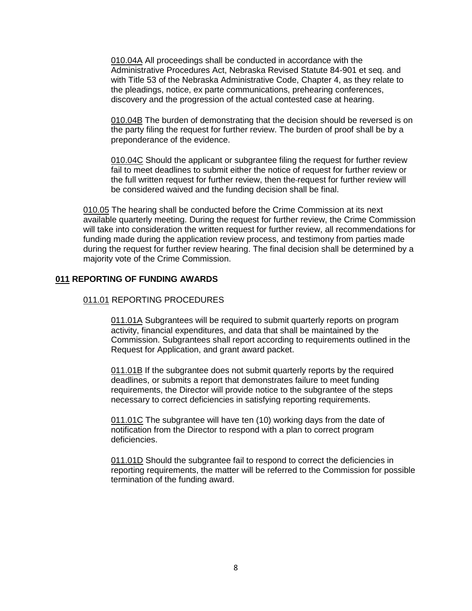010.04A All proceedings shall be conducted in accordance with the Administrative Procedures Act, Nebraska Revised Statute 84-901 et seq. and with Title 53 of the Nebraska Administrative Code, Chapter 4, as they relate to the pleadings, notice, ex parte communications, prehearing conferences, discovery and the progression of the actual contested case at hearing.

010.04B The burden of demonstrating that the decision should be reversed is on the party filing the request for further review. The burden of proof shall be by a preponderance of the evidence.

010.04C Should the applicant or subgrantee filing the request for further review fail to meet deadlines to submit either the notice of request for further review or the full written request for further review, then the request for further review will be considered waived and the funding decision shall be final.

010.05 The hearing shall be conducted before the Crime Commission at its next available quarterly meeting. During the request for further review, the Crime Commission will take into consideration the written request for further review, all recommendations for funding made during the application review process, and testimony from parties made during the request for further review hearing. The final decision shall be determined by a majority vote of the Crime Commission.

## **011 REPORTING OF FUNDING AWARDS**

### 011.01 REPORTING PROCEDURES

011.01A Subgrantees will be required to submit quarterly reports on program activity, financial expenditures, and data that shall be maintained by the Commission. Subgrantees shall report according to requirements outlined in the Request for Application, and grant award packet.

011.01B If the subgrantee does not submit quarterly reports by the required deadlines, or submits a report that demonstrates failure to meet funding requirements, the Director will provide notice to the subgrantee of the steps necessary to correct deficiencies in satisfying reporting requirements.

011.01C The subgrantee will have ten (10) working days from the date of notification from the Director to respond with a plan to correct program deficiencies.

011.01D Should the subgrantee fail to respond to correct the deficiencies in reporting requirements, the matter will be referred to the Commission for possible termination of the funding award.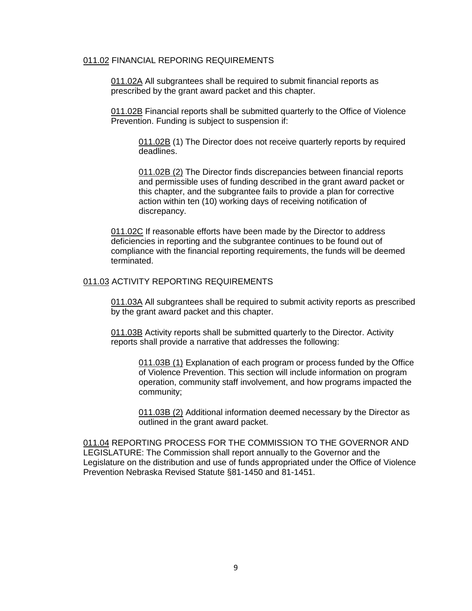#### 011.02 FINANCIAL REPORING REQUIREMENTS

011.02A All subgrantees shall be required to submit financial reports as prescribed by the grant award packet and this chapter.

011.02B Financial reports shall be submitted quarterly to the Office of Violence Prevention. Funding is subject to suspension if:

011.02B (1) The Director does not receive quarterly reports by required deadlines.

011.02B (2) The Director finds discrepancies between financial reports and permissible uses of funding described in the grant award packet or this chapter, and the subgrantee fails to provide a plan for corrective action within ten (10) working days of receiving notification of discrepancy.

011.02C If reasonable efforts have been made by the Director to address deficiencies in reporting and the subgrantee continues to be found out of compliance with the financial reporting requirements, the funds will be deemed terminated.

#### 011.03 ACTIVITY REPORTING REQUIREMENTS

011.03A All subgrantees shall be required to submit activity reports as prescribed by the grant award packet and this chapter.

011.03B Activity reports shall be submitted quarterly to the Director. Activity reports shall provide a narrative that addresses the following:

011.03B (1) Explanation of each program or process funded by the Office of Violence Prevention. This section will include information on program operation, community staff involvement, and how programs impacted the community;

011.03B (2) Additional information deemed necessary by the Director as outlined in the grant award packet.

011.04 REPORTING PROCESS FOR THE COMMISSION TO THE GOVERNOR AND LEGISLATURE: The Commission shall report annually to the Governor and the Legislature on the distribution and use of funds appropriated under the Office of Violence Prevention Nebraska Revised Statute §81-1450 and 81-1451.